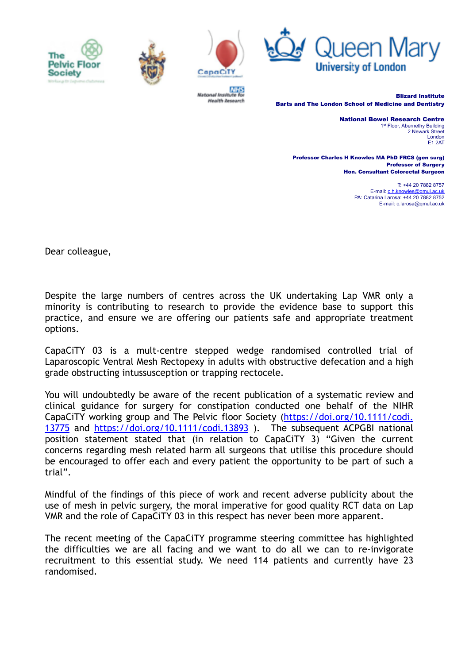





National Institute for **Health Aesearch** 



Blizard Institute Barts and The London School of Medicine and Dentistry

> National Bowel Research Centre 1st Floor, Abernethy Building 2 Newark Street London E1 2AT

Professor Charles H Knowles MA PhD FRCS (gen surg) Professor of Surgery Hon. Consultant Colorectal Surgeon

> T: +44 20 7882 8757 E-mail: [c.h.knowles@qmul.ac.uk](mailto:c.h.knowles@qmul.ac.uk) PA: Catarina Larosa: +44 20 7882 8752 E-mail: c.larosa@qmul.ac.uk

Dear colleague,

Despite the large numbers of centres across the UK undertaking Lap VMR only a minority is contributing to research to provide the evidence base to support this practice, and ensure we are offering our patients safe and appropriate treatment options.

CapaCiTY 03 is a mult-centre stepped wedge randomised controlled trial of Laparoscopic Ventral Mesh Rectopexy in adults with obstructive defecation and a high grade obstructing intussusception or trapping rectocele.

You will undoubtedly be aware of the recent publication of a systematic review and clinical guidance for surgery for constipation conducted one behalf of the NIHR CapaCiTY working group and The Pelvic floor Society [\(https://doi.org/10.1111/codi.](https://doi.org/10.1111/codi.13775) [13775](https://doi.org/10.1111/codi.13775) and <https://doi.org/10.1111/codi.13893> ). The subsequent ACPGBI national position statement stated that (in relation to CapaCiTY 3) "Given the current concerns regarding mesh related harm all surgeons that utilise this procedure should be encouraged to offer each and every patient the opportunity to be part of such a trial".

Mindful of the findings of this piece of work and recent adverse publicity about the use of mesh in pelvic surgery, the moral imperative for good quality RCT data on Lap VMR and the role of CapaCiTY 03 in this respect has never been more apparent.

The recent meeting of the CapaCiTY programme steering committee has highlighted the difficulties we are all facing and we want to do all we can to re-invigorate recruitment to this essential study. We need 114 patients and currently have 23 randomised.